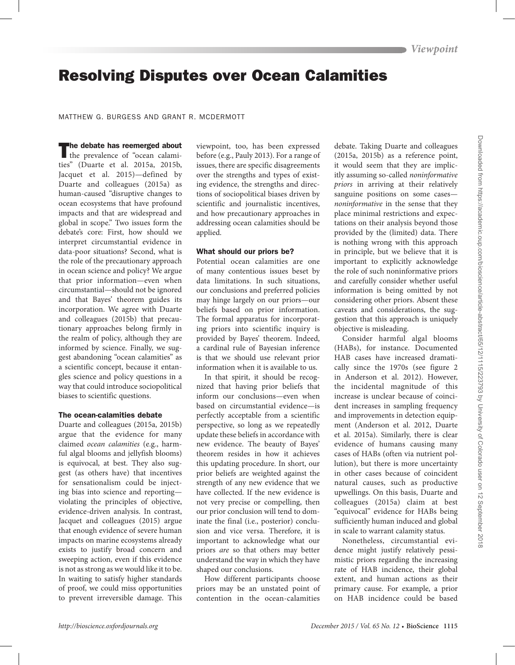# Resolving Disputes over Ocean Calamities

#### MATTHEW G. BURGESS AND GRANT R. MCDERMOTT

The debate has reemerged about<br>the prevalence of "ocean calamities" (Duarte et al. 2015a, 2015b, Jacquet et al. 2015)—defined by Duarte and colleagues (2015a) as human-caused "disruptive changes to ocean ecosystems that have profound impacts and that are widespread and global in scope." Two issues form the debate's core: First, how should we interpret circumstantial evidence in data-poor situations? Second, what is the role of the precautionary approach in ocean science and policy? We argue that prior information—even when circumstantial—should not be ignored and that Bayes' theorem guides its incorporation. We agree with Duarte and colleagues (2015b) that precautionary approaches belong firmly in the realm of policy, although they are informed by science. Finally, we suggest abandoning "ocean calamities" as a scientific concept, because it entangles science and policy questions in a way that could introduce sociopolitical biases to scientific questions.

#### The ocean-calamities debate

Duarte and colleagues (2015a, 2015b) argue that the evidence for many claimed *ocean calamities* (e.g., harmful algal blooms and jellyfish blooms) is equivocal, at best. They also suggest (as others have) that incentives for sensationalism could be injecting bias into science and reporting violating the principles of objective, evidence-driven analysis. In contrast, Jacquet and colleagues (2015) argue that enough evidence of severe human impacts on marine ecosystems already exists to justify broad concern and sweeping action, even if this evidence is not as strong as we would like it to be. In waiting to satisfy higher standards of proof, we could miss opportunities to prevent irreversible damage. This

viewpoint, too, has been expressed before (e.g., Pauly 2013). For a range of issues, there are specific disagreements over the strengths and types of existing evidence, the strengths and directions of sociopolitical biases driven by scientific and journalistic incentives, and how precautionary approaches in addressing ocean calamities should be applied.

# What should our priors be?

Potential ocean calamities are one of many contentious issues beset by data limitations. In such situations, our conclusions and preferred policies may hinge largely on our priors—our beliefs based on prior information. The formal apparatus for incorporating priors into scientific inquiry is provided by Bayes' theorem. Indeed, a cardinal rule of Bayesian inference is that we should use relevant prior information when it is available to us.

In that spirit, it should be recognized that having prior beliefs that inform our conclusions—even when based on circumstantial evidence—is perfectly acceptable from a scientific perspective, so long as we repeatedly update these beliefs in accordance with new evidence. The beauty of Bayes' theorem resides in how it achieves this updating procedure. In short, our prior beliefs are weighted against the strength of any new evidence that we have collected. If the new evidence is not very precise or compelling, then our prior conclusion will tend to dominate the final (i.e., posterior) conclusion and vice versa. Therefore, it is important to acknowledge what our priors *are* so that others may better understand the way in which they have shaped our conclusions.

How different participants choose priors may be an unstated point of contention in the ocean-calamities

debate. Taking Duarte and colleagues (2015a, 2015b) as a reference point, it would seem that they are implicitly assuming so-called *noninformative priors* in arriving at their relatively sanguine positions on some cases *noninformative* in the sense that they place minimal restrictions and expectations on their analysis beyond those provided by the (limited) data. There is nothing wrong with this approach in principle, but we believe that it is important to explicitly acknowledge the role of such noninformative priors and carefully consider whether useful information is being omitted by not considering other priors. Absent these caveats and considerations, the suggestion that this approach is uniquely objective is misleading.

Consider harmful algal blooms (HABs), for instance. Documented HAB cases have increased dramatically since the 1970s (see figure 2 in Anderson et al. 2012). However, the incidental magnitude of this increase is unclear because of coincident increases in sampling frequency and improvements in detection equipment (Anderson et al. 2012, Duarte et al. 2015a). Similarly, there is clear evidence of humans causing many cases of HABs (often via nutrient pollution), but there is more uncertainty in other cases because of coincident natural causes, such as productive upwellings. On this basis, Duarte and colleagues (2015a) claim at best "equivocal" evidence for HABs being sufficiently human induced and global in scale to warrant calamity status.

Nonetheless, circumstantial evidence might justify relatively pessimistic priors regarding the increasing rate of HAB incidence, their global extent, and human actions as their primary cause. For example, a prior on HAB incidence could be based